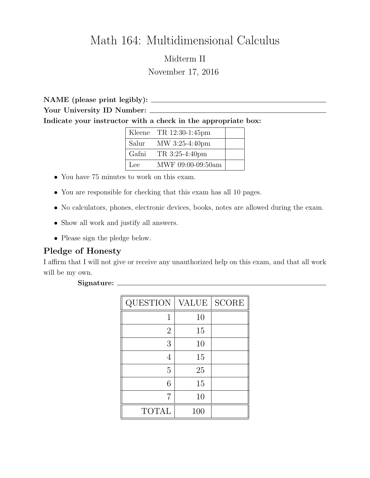## Math 164: Multidimensional Calculus

Midterm II November 17, 2016

NAME (please print legibly): Your University ID Number: Indicate your instructor with a check in the appropriate box:

|       | Kleene TR $12:30-1:45$ pm |  |
|-------|---------------------------|--|
| Salur | MW 3:25-4:40pm            |  |
| Gafni | TR 3:25-4:40pm            |  |
| Lee   | MWF 09:00-09:50am         |  |

- You have 75 minutes to work on this exam.
- You are responsible for checking that this exam has all 10 pages.
- No calculators, phones, electronic devices, books, notes are allowed during the exam.
- Show all work and justify all answers.
- Please sign the pledge below.

## Pledge of Honesty

I affirm that I will not give or receive any unauthorized help on this exam, and that all work will be my own.

## Signature:

| QUESTION       | VALUE | <b>SCORE</b> |
|----------------|-------|--------------|
| 1              | 10    |              |
| $\overline{2}$ | 15    |              |
| 3              | 10    |              |
| 4              | 15    |              |
| 5              | 25    |              |
| 6              | 15    |              |
| 7              | 10    |              |
| <b>TOTAL</b>   | 100   |              |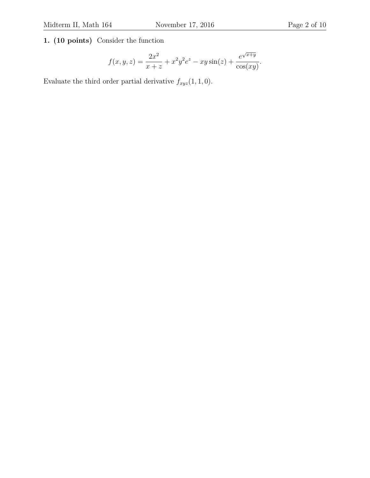## 1. (10 points) Consider the function

$$
f(x, y, z) = \frac{2x^2}{x + z} + x^2 y^2 e^z - xy \sin(z) + \frac{e^{\sqrt{x + y}}}{\cos(xy)}.
$$

Evaluate the third order partial derivative  $f_{xyz}(1, 1, 0)$ .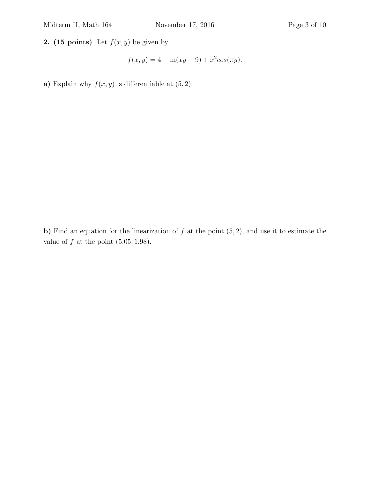2. (15 points) Let  $f(x, y)$  be given by

$$
f(x, y) = 4 - \ln(xy - 9) + x^2 \cos(\pi y).
$$

a) Explain why  $f(x, y)$  is differentiable at  $(5, 2)$ .

b) Find an equation for the linearization of  $f$  at the point  $(5, 2)$ , and use it to estimate the value of  $f$  at the point  $(5.05, 1.98)$ .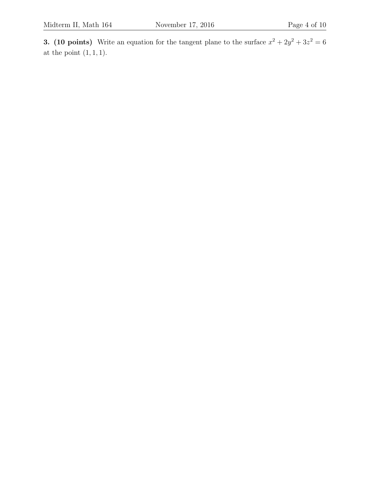**3.** (10 points) Write an equation for the tangent plane to the surface  $x^2 + 2y^2 + 3z^2 = 6$ at the point  $(1, 1, 1)$ .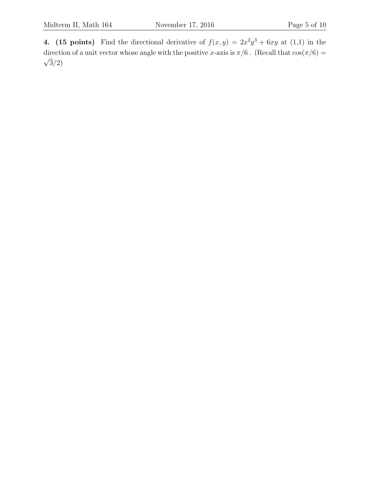4. (15 points) Find the directional derivative of  $f(x,y) = 2x^2y^3 + 6xy$  at (1,1) in the direction of a unit vector whose angle with the positive x-axis is  $\pi/6$ . (Recall that  $\cos(\pi/6) =$ √  $3/2)$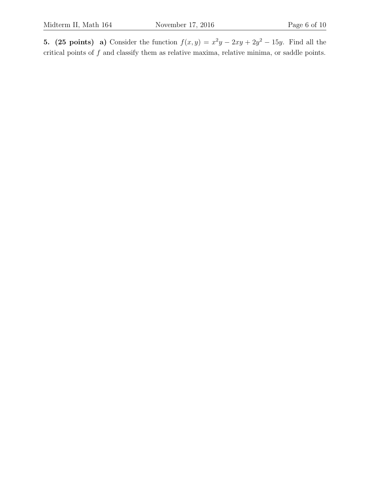**5.** (25 points) a) Consider the function  $f(x,y) = x^2y - 2xy + 2y^2 - 15y$ . Find all the critical points of  $f$  and classify them as relative maxima, relative minima, or saddle points.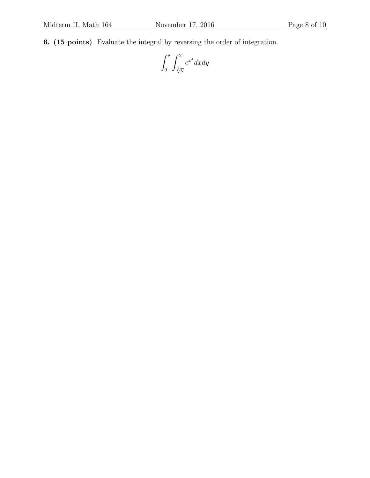6. (15 points) Evaluate the integral by reversing the order of integration.

$$
\int_0^8 \int_{\sqrt[3]{y}}^2 e^{x^4} dx dy
$$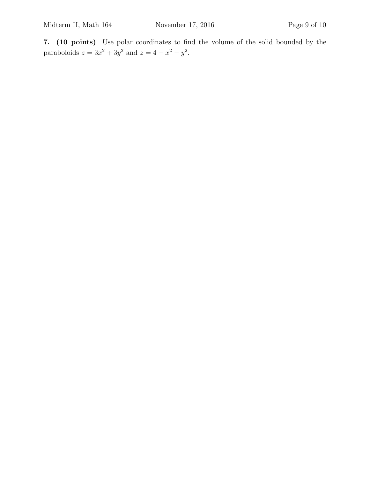7. (10 points) Use polar coordinates to find the volume of the solid bounded by the paraboloids  $z = 3x^2 + 3y^2$  and  $z = 4 - x^2 - y^2$ .